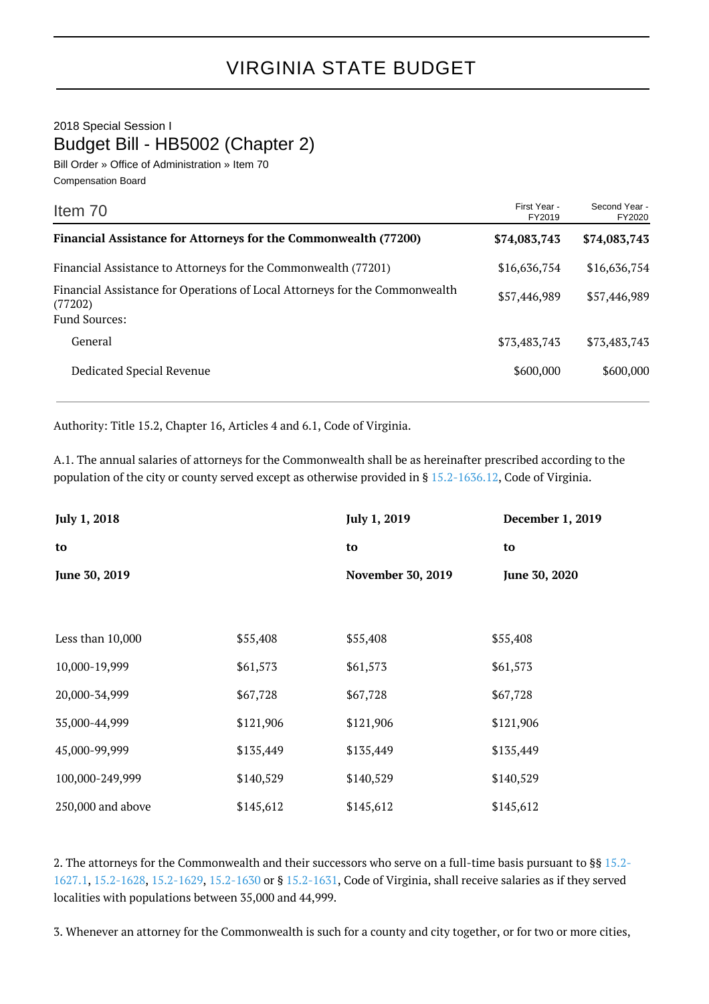2018 Special Session I Budget Bill - HB5002 (Chapter 2)

Bill Order » Office of Administration » Item 70 Compensation Board

| Item 70                                                                                                        | First Year -<br>FY2019 | Second Year -<br>FY2020 |
|----------------------------------------------------------------------------------------------------------------|------------------------|-------------------------|
| Financial Assistance for Attorneys for the Commonwealth (77200)                                                | \$74,083,743           | \$74,083,743            |
| Financial Assistance to Attorneys for the Commonwealth (77201)                                                 | \$16,636,754           | \$16,636,754            |
| Financial Assistance for Operations of Local Attorneys for the Commonwealth<br>(77202)<br><b>Fund Sources:</b> | \$57,446,989           | \$57,446,989            |
| General                                                                                                        | \$73,483,743           | \$73,483,743            |
| Dedicated Special Revenue                                                                                      | \$600,000              | \$600,000               |

Authority: Title 15.2, Chapter 16, Articles 4 and 6.1, Code of Virginia.

A.1. The annual salaries of attorneys for the Commonwealth shall be as hereinafter prescribed according to the population of the city or county served except as otherwise provided in § [15.2-1636.12](http://law.lis.virginia.gov/vacode/15.2-1636.12/), Code of Virginia.

| <b>July 1, 2018</b> |           | <b>July 1, 2019</b>      | December 1, 2019 |
|---------------------|-----------|--------------------------|------------------|
| to                  |           | to                       | to               |
| June 30, 2019       |           | <b>November 30, 2019</b> | June 30, 2020    |
|                     |           |                          |                  |
| Less than 10,000    | \$55,408  | \$55,408                 | \$55,408         |
| 10,000-19,999       | \$61,573  | \$61,573                 | \$61,573         |
| 20,000-34,999       | \$67,728  | \$67,728                 | \$67,728         |
| 35,000-44,999       | \$121,906 | \$121,906                | \$121,906        |
| 45,000-99,999       | \$135,449 | \$135,449                | \$135,449        |
| 100,000-249,999     | \$140,529 | \$140,529                | \$140,529        |
| 250,000 and above   | \$145,612 | \$145,612                | \$145,612        |

2. The attorneys for the Commonwealth and their successors who serve on a full-time basis pursuant to §§ [15.2-](http://law.lis.virginia.gov/vacode/15.2-1627.1/) [1627.1,](http://law.lis.virginia.gov/vacode/15.2-1627.1/) [15.2-1628](http://law.lis.virginia.gov/vacode/15.2-1628/), [15.2-1629](http://law.lis.virginia.gov/vacode/15.2-1629/), [15.2-1630](http://law.lis.virginia.gov/vacode/15.2-1630/) or § [15.2-1631](http://law.lis.virginia.gov/vacode/15.2-1631/), Code of Virginia, shall receive salaries as if they served localities with populations between 35,000 and 44,999.

3. Whenever an attorney for the Commonwealth is such for a county and city together, or for two or more cities,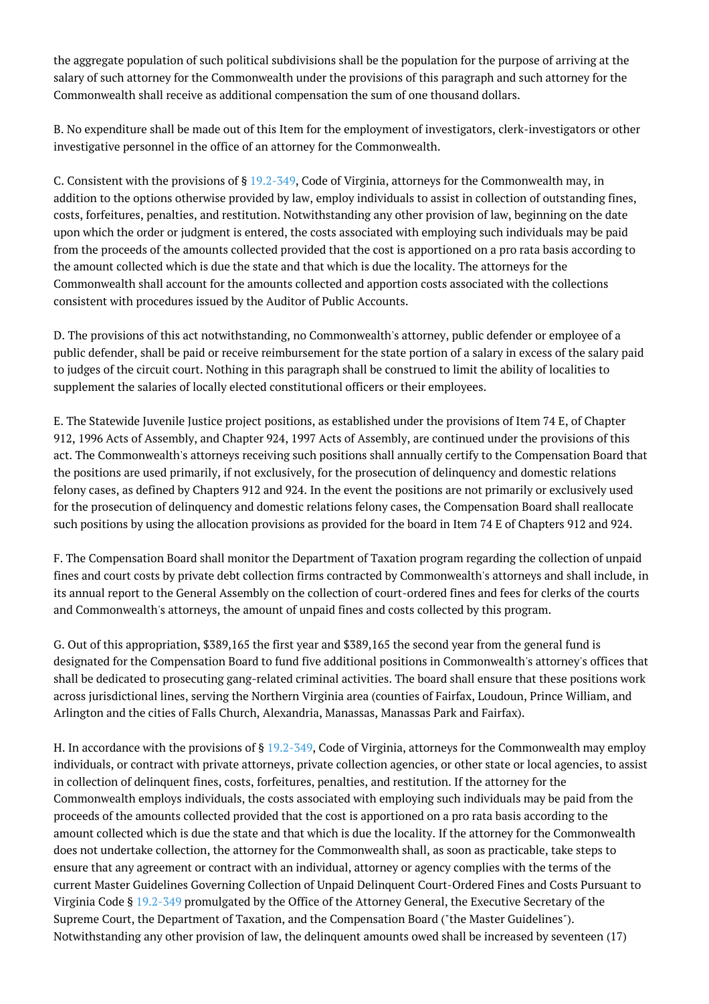the aggregate population of such political subdivisions shall be the population for the purpose of arriving at the salary of such attorney for the Commonwealth under the provisions of this paragraph and such attorney for the Commonwealth shall receive as additional compensation the sum of one thousand dollars.

B. No expenditure shall be made out of this Item for the employment of investigators, clerk-investigators or other investigative personnel in the office of an attorney for the Commonwealth.

C. Consistent with the provisions of § [19.2-349,](http://law.lis.virginia.gov/vacode/19.2-349/) Code of Virginia, attorneys for the Commonwealth may, in addition to the options otherwise provided by law, employ individuals to assist in collection of outstanding fines, costs, forfeitures, penalties, and restitution. Notwithstanding any other provision of law, beginning on the date upon which the order or judgment is entered, the costs associated with employing such individuals may be paid from the proceeds of the amounts collected provided that the cost is apportioned on a pro rata basis according to the amount collected which is due the state and that which is due the locality. The attorneys for the Commonwealth shall account for the amounts collected and apportion costs associated with the collections consistent with procedures issued by the Auditor of Public Accounts.

D. The provisions of this act notwithstanding, no Commonwealth's attorney, public defender or employee of a public defender, shall be paid or receive reimbursement for the state portion of a salary in excess of the salary paid to judges of the circuit court. Nothing in this paragraph shall be construed to limit the ability of localities to supplement the salaries of locally elected constitutional officers or their employees.

E. The Statewide Juvenile Justice project positions, as established under the provisions of Item 74 E, of Chapter 912, 1996 Acts of Assembly, and Chapter 924, 1997 Acts of Assembly, are continued under the provisions of this act. The Commonwealth's attorneys receiving such positions shall annually certify to the Compensation Board that the positions are used primarily, if not exclusively, for the prosecution of delinquency and domestic relations felony cases, as defined by Chapters 912 and 924. In the event the positions are not primarily or exclusively used for the prosecution of delinquency and domestic relations felony cases, the Compensation Board shall reallocate such positions by using the allocation provisions as provided for the board in Item 74 E of Chapters 912 and 924.

F. The Compensation Board shall monitor the Department of Taxation program regarding the collection of unpaid fines and court costs by private debt collection firms contracted by Commonwealth's attorneys and shall include, in its annual report to the General Assembly on the collection of court-ordered fines and fees for clerks of the courts and Commonwealth's attorneys, the amount of unpaid fines and costs collected by this program.

G. Out of this appropriation, \$389,165 the first year and \$389,165 the second year from the general fund is designated for the Compensation Board to fund five additional positions in Commonwealth's attorney's offices that shall be dedicated to prosecuting gang-related criminal activities. The board shall ensure that these positions work across jurisdictional lines, serving the Northern Virginia area (counties of Fairfax, Loudoun, Prince William, and Arlington and the cities of Falls Church, Alexandria, Manassas, Manassas Park and Fairfax).

H. In accordance with the provisions of § [19.2-349](http://law.lis.virginia.gov/vacode/19.2-349/), Code of Virginia, attorneys for the Commonwealth may employ individuals, or contract with private attorneys, private collection agencies, or other state or local agencies, to assist in collection of delinquent fines, costs, forfeitures, penalties, and restitution. If the attorney for the Commonwealth employs individuals, the costs associated with employing such individuals may be paid from the proceeds of the amounts collected provided that the cost is apportioned on a pro rata basis according to the amount collected which is due the state and that which is due the locality. If the attorney for the Commonwealth does not undertake collection, the attorney for the Commonwealth shall, as soon as practicable, take steps to ensure that any agreement or contract with an individual, attorney or agency complies with the terms of the current Master Guidelines Governing Collection of Unpaid Delinquent Court-Ordered Fines and Costs Pursuant to Virginia Code § [19.2-349](http://law.lis.virginia.gov/vacode/19.2-349/) promulgated by the Office of the Attorney General, the Executive Secretary of the Supreme Court, the Department of Taxation, and the Compensation Board ("the Master Guidelines"). Notwithstanding any other provision of law, the delinquent amounts owed shall be increased by seventeen (17)